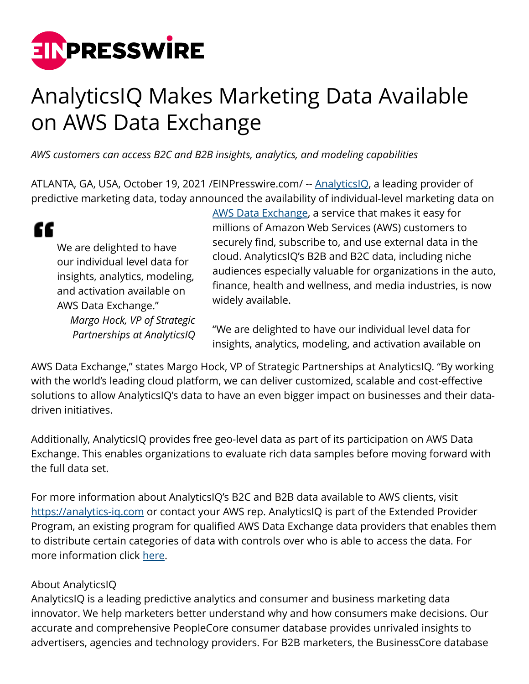

## AnalyticsIQ Makes Marketing Data Available on AWS Data Exchange

*AWS customers can access B2C and B2B insights, analytics, and modeling capabilities*

ATLANTA, GA, USA, October 19, 2021 / EINPresswire.com/ -- **AnalyticsIQ**, a leading provider of predictive marketing data, today announced the availability of individual-level marketing data on

| We are delighted to have       |
|--------------------------------|
| our individual level data for  |
| insights, analytics, modeling, |
| and activation available on    |
| AWS Data Exchange."            |
| Margo Hock, VP of Strategic    |
| Partnerships at AnalyticsIQ    |

[AWS Data Exchange](https://aws.amazon.com/marketplace/search/results?searchTerms=analyticsiq), a service that makes it easy for millions of Amazon Web Services (AWS) customers to securely find, subscribe to, and use external data in the cloud. AnalyticsIQ's B2B and B2C data, including niche audiences especially valuable for organizations in the auto, finance, health and wellness, and media industries, is now widely available.

"We are delighted to have our individual level data for insights, analytics, modeling, and activation available on

AWS Data Exchange," states Margo Hock, VP of Strategic Partnerships at AnalyticsIQ. "By working with the world's leading cloud platform, we can deliver customized, scalable and cost-effective solutions to allow AnalyticsIQ's data to have an even bigger impact on businesses and their datadriven initiatives.

Additionally, AnalyticsIQ provides free geo-level data as part of its participation on AWS Data Exchange. This enables organizations to evaluate rich data samples before moving forward with the full data set.

For more information about AnalyticsIQ's B2C and B2B data available to AWS clients, visit <https://analytics-iq.com>or contact your AWS rep. AnalyticsIQ is part of the Extended Provider Program, an existing program for qualified AWS Data Exchange data providers that enables them to distribute certain categories of data with controls over who is able to access the data. For more information click [here.](https://docs.aws.amazon.com/data-exchange/latest/userguide/publishing-guidelines.html)

## About AnalyticsIQ

AnalyticsIQ is a leading predictive analytics and consumer and business marketing data innovator. We help marketers better understand why and how consumers make decisions. Our accurate and comprehensive PeopleCore consumer database provides unrivaled insights to advertisers, agencies and technology providers. For B2B marketers, the BusinessCore database